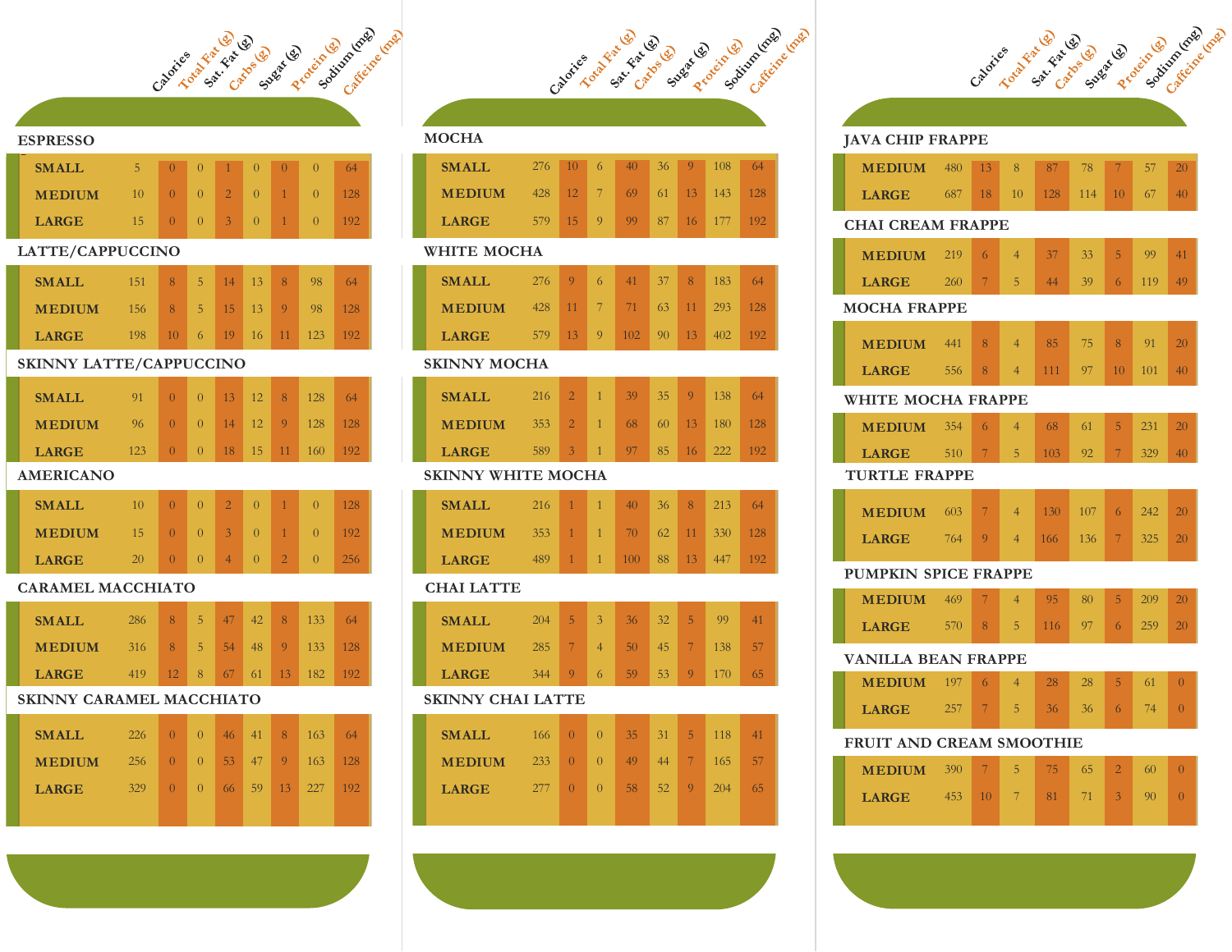

#### **ESPRESSO**

| <b>SMALL</b>  | 5.     | $\mathbf{0}$ | $\Omega$ | <b>ALL 1977</b> | $\Omega$ | $\cup$ | 64  |
|---------------|--------|--------------|----------|-----------------|----------|--------|-----|
| <b>MEDIUM</b> | $10 -$ | $\cup$       | $0-1$    | $2^{\circ}$     | $\Omega$ |        |     |
| <b>LARGE</b>  | 15     |              | $\Omega$ | 3 <sup>7</sup>  | $\Omega$ |        | 192 |

#### **LATTE/CAPPUCCINO**

| <b>SMALL</b>  | 151 | 8   | 5.             | 14     | 13 <sup>1</sup> | 8  | 98  | 64  |
|---------------|-----|-----|----------------|--------|-----------------|----|-----|-----|
| <b>MEDIUM</b> | 156 | 8   | 5 <sub>1</sub> | $15-1$ | 13              | 9. | 98  | 128 |
| <b>LARGE</b>  | 198 | 10. | 6.             | 19     | $16 -$          | 11 | 123 | 192 |

## **SKINNY LATTE/CAPPUCCINO**

| <b>SMALL</b>  | 91              | $\Omega$ | 13 <sup>1</sup> | 12              | 8         | 128   | 64  |
|---------------|-----------------|----------|-----------------|-----------------|-----------|-------|-----|
| <b>MEDIUM</b> | 96 <sup>2</sup> | $\Omega$ | 14              | 12 <sup>2</sup> | Q         | 128   | 128 |
| <b>LARGE</b>  | 123             | $\Omega$ | 18              |                 | $15 \ 11$ | -160- | 192 |

## **AMERICANO**

| <b>SMALL</b>  | 10              |        | $\mathbf{O}$ |                | $\cup$            |                  | 128 |
|---------------|-----------------|--------|--------------|----------------|-------------------|------------------|-----|
| <b>MEDIUM</b> | 15 <sup>1</sup> | $\cup$ | $\Omega$     | 3 <sup>1</sup> | $\cup$            |                  | 192 |
| <b>LARGE</b>  | 20              |        |              |                | $\theta$ $\theta$ | $\left( \right)$ | 256 |

#### **CARAMEL MACCHIATO**

| <b>SMALL</b>  | 286 | 8           | 5            | 47    | 42    | -8             | 133'    | 64   |
|---------------|-----|-------------|--------------|-------|-------|----------------|---------|------|
| <b>MEDIUM</b> | 316 | 487         | 5.           | 54    | $-48$ | $\blacksquare$ | $133 -$ | -128 |
| <b>LARGE</b>  | 419 | <b>T2 N</b> | $\mathbf{R}$ | $-67$ | 61    | $\mathbf{1}3$  | 182     | 192  |

## **SKINNY CARAMEL MACCHIATO**

| <b>SMALL</b>  | 226 | $\Omega$ | $\left  0 \right $ | 46 <sup>1</sup> | 41 8 | $-163$                            | 64  |
|---------------|-----|----------|--------------------|-----------------|------|-----------------------------------|-----|
| <b>MEDIUM</b> |     |          |                    |                 |      | 256 0 0 53 47 9 163 128           |     |
| <b>LARGE</b>  | 329 |          |                    |                 |      | $0 \t 0 \t 66 \t 59 \t 13 \t 227$ | 192 |
|               |     |          |                    |                 |      |                                   |     |



## **MOCHA**

| <b>SMALL</b>  | $276$ 10 6 | 40                | 36 9 | - 108 -          | 64 |
|---------------|------------|-------------------|------|------------------|----|
| <b>MEDIUM</b> | $428$ 12   | $7 \overline{69}$ |      | 61 13 143 128    |    |
| <b>LARGE</b>  | $579$ 15 9 |                   |      | 99 87 16 177 192 |    |
|               |            |                   |      |                  |    |

#### **WHITE MOCHA**

| SMALL.        | $276 - 9$ | - 6 - | 41                        |  | 37 8 183  | 64 |
|---------------|-----------|-------|---------------------------|--|-----------|----|
| <b>MEDIUM</b> |           |       | 428 11 7 71 63 11 293 128 |  |           |    |
| <b>LARGE</b>  |           |       | 579 13 9 102 90 13        |  | $402$ 192 |    |

#### **SKINNY MOCHA**

| <b>SMALL</b>  | $216 \quad 2$ |      | $-1$ | 39 | $35 \quad 9$ | - 138          | 64  |
|---------------|---------------|------|------|----|--------------|----------------|-----|
| <b>MEDIUM</b> | $353 \quad 2$ |      | $-1$ | 68 |              | 60 13 180 128  |     |
| <b>LARGE</b>  | 589           | $-3$ | -41  |    |              | $97$ 85 16 222 | 192 |

## **SKINNY WHITE MOCHA**

| <b>SMALL</b>  | 216     |  | 40     | $36-1$ | $-8$            | 213                     | 64    |
|---------------|---------|--|--------|--------|-----------------|-------------------------|-------|
| <b>MEDIUM</b> | $353 -$ |  | $-70$  |        |                 | $62 \quad 11 \quad 330$ | - 128 |
| <b>LARGE</b>  | 489     |  | $-100$ | 88 L   | 13 <sup>1</sup> | 447                     | 192   |

## **CHAI LATTE**

| <b>SMALL</b>  | 204 | 5 <sub>l</sub> | 3                        | 36 <sup>2</sup> | 32 <sup>2</sup> | 5     | 99    |    |
|---------------|-----|----------------|--------------------------|-----------------|-----------------|-------|-------|----|
| <b>MEDIUM</b> | 285 |                | $\overline{\mathcal{A}}$ | 50              | 45              |       | 138   | 57 |
| <b>LARGE</b>  | 344 |                | 6.                       | 59              | $53 -$          | $-9-$ | - 170 | 65 |

#### **SKINNY CHAI LATTE**

| <b>SMALL</b>  | $166 \pm 0$   |          | $\rightarrow$ | 35     | $31 \quad 5$     | 118 | 41 |
|---------------|---------------|----------|---------------|--------|------------------|-----|----|
| <b>MEDIUM</b> | $233 \ 0 \ 1$ |          | $\Omega$      | - 49 - | $44 \mid 7 \mid$ | 165 | 57 |
| <b>LARGE</b>  | 277           | $\Omega$ | $\Omega$      | 58     | $52 \mid 9$      | 204 | 65 |
|               |               |          |               |        |                  |     |    |

# **JAVA CHIP FRAPPE**

Cabricle of the category of decade of the cabinety (cash

|                                 | <b>MEDIUM</b> 480 |     | 13              | 8              | 87  | 78  | $\overline{7}$ | 57  | 20             |  |  |
|---------------------------------|-------------------|-----|-----------------|----------------|-----|-----|----------------|-----|----------------|--|--|
|                                 | <b>LARGE</b>      | 687 | 18              | 10             | 128 | 114 | 10             | 67  | 40             |  |  |
| <b>CHAI CREAM FRAPPE</b>        |                   |     |                 |                |     |     |                |     |                |  |  |
|                                 | <b>MEDIUM</b>     | 219 | 6               | $\overline{4}$ | 37  | 33  | 5              | 99  | 41             |  |  |
|                                 |                   |     |                 |                |     |     |                |     |                |  |  |
|                                 | <b>LARGE</b>      | 260 | 7               | 5              | 44  | 39  | 6              | 119 | 49             |  |  |
| <b>MOCHA FRAPPE</b>             |                   |     |                 |                |     |     |                |     |                |  |  |
|                                 | <b>MEDIUM</b>     | 441 | 8               | $\overline{4}$ | 85  | 75  | 8              | 91  | 20             |  |  |
|                                 | <b>LARGE</b>      | 556 | 8               | $\overline{4}$ | 111 | 97  | 10             | 101 | 40             |  |  |
| <b>WHITE MOCHA FRAPPE</b>       |                   |     |                 |                |     |     |                |     |                |  |  |
|                                 | <b>MEDIUM</b>     | 354 | 6               | $\overline{4}$ | 68  | 61  | 5              | 231 | 20             |  |  |
|                                 | <b>LARGE</b>      | 510 | $7\phantom{.0}$ | 5              | 103 | 92  | 7              | 329 | 40             |  |  |
| <b>TURTLE FRAPPE</b>            |                   |     |                 |                |     |     |                |     |                |  |  |
|                                 | <b>MEDIUM</b>     | 603 | 7 <sup>1</sup>  | $\overline{4}$ | 130 | 107 | 6              | 242 | 20             |  |  |
|                                 |                   |     |                 |                |     |     |                |     |                |  |  |
|                                 | <b>LARGE</b>      | 764 | 9               | $\overline{4}$ | 166 | 136 | $\overline{7}$ | 325 | 20             |  |  |
| <b>PUMPKIN SPICE FRAPPE</b>     |                   |     |                 |                |     |     |                |     |                |  |  |
|                                 | <b>MEDIUM</b>     | 469 | 7 <sup>1</sup>  | $\overline{4}$ | 95  | 80  | 5              | 209 | 20             |  |  |
|                                 | <b>LARGE</b>      | 570 | 8               | 5              | 116 | 97  | 6              | 259 | 20             |  |  |
| <b>VANILLA BEAN FRAPPE</b>      |                   |     |                 |                |     |     |                |     |                |  |  |
|                                 | <b>MEDIUM</b> 197 |     | 6               | $\overline{4}$ | 28  | 28  | 5              | 61  | $\overline{0}$ |  |  |
|                                 | <b>LARGE</b>      | 257 | 7               | 5              | 36  | 36  | 6              | 74  | $\overline{0}$ |  |  |
| <b>FRUIT AND CREAM SMOOTHIE</b> |                   |     |                 |                |     |     |                |     |                |  |  |
|                                 |                   |     | $\overline{7}$  | 5              | 75  | 65  | $\overline{2}$ | 60  | $\theta$       |  |  |
|                                 | <b>MEDIUM</b> 390 |     |                 |                |     |     |                |     |                |  |  |
|                                 | <b>LARGE</b>      | 453 | 10              | 7              | 81  | 71  | 3              | 90  | $\overline{0}$ |  |  |